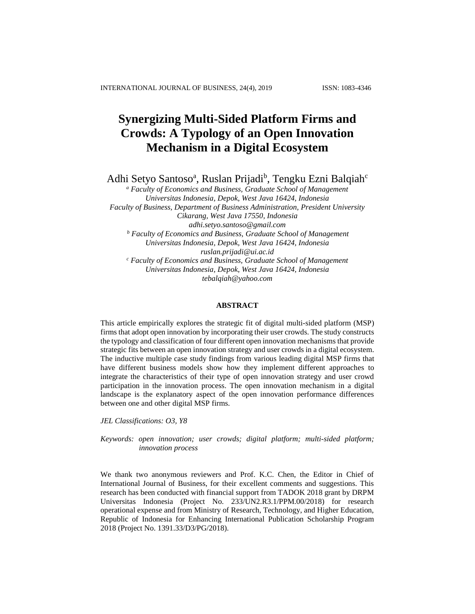# **Synergizing Multi-Sided Platform Firms and Crowds: A Typology of an Open Innovation Mechanism in a Digital Ecosystem**

Adhi Setyo Santoso<sup>a</sup>, Ruslan Prijadi<sup>b</sup>, Tengku Ezni Balqiah<sup>c</sup>

*<sup>a</sup> Faculty of Economics and Business, Graduate School of Management Universitas Indonesia, Depok, West Java 16424, Indonesia Faculty of Business, Department of Business Administration, President University Cikarang, West Java 17550, Indonesia [adhi.setyo.santoso@gmail.com](mailto:adhi.setyo.santoso@gmail.com) <sup>b</sup> Faculty of Economics and Business, Graduate School of Management Universitas Indonesia, Depok, West Java 16424, Indonesia ruslan.prijadi@ui.ac.id <sup>c</sup> Faculty of Economics and Business, Graduate School of Management Universitas Indonesia, Depok, West Java 16424, Indonesia tebalqiah@yahoo.com*

# **ABSTRACT**

This article empirically explores the strategic fit of digital multi-sided platform (MSP) firms that adopt open innovation by incorporating their user crowds. The study constructs the typology and classification of four different open innovation mechanisms that provide strategic fits between an open innovation strategy and user crowds in a digital ecosystem. The inductive multiple case study findings from various leading digital MSP firms that have different business models show how they implement different approaches to integrate the characteristics of their type of open innovation strategy and user crowd participation in the innovation process. The open innovation mechanism in a digital landscape is the explanatory aspect of the open innovation performance differences between one and other digital MSP firms.

*JEL Classifications: O3, Y8*

*Keywords: open innovation; user crowds; digital platform; multi-sided platform; innovation process*

We thank two anonymous reviewers and Prof. K.C. Chen, the Editor in Chief of International Journal of Business, for their excellent comments and suggestions. This research has been conducted with financial support from TADOK 2018 grant by DRPM Universitas Indonesia (Project No. 233/UN2.R3.1/PPM.00/2018) for research operational expense and from Ministry of Research, Technology, and Higher Education, Republic of Indonesia for Enhancing International Publication Scholarship Program 2018 (Project No. 1391.33/D3/PG/2018).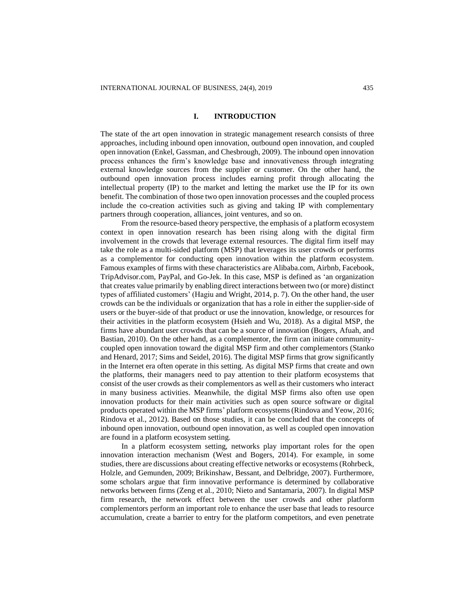#### **I. INTRODUCTION**

The state of the art open innovation in strategic management research consists of three approaches, including inbound open innovation, outbound open innovation, and coupled open innovation (Enkel, Gassman, and Chesbrough, 2009). The inbound open innovation process enhances the firm's knowledge base and innovativeness through integrating external knowledge sources from the supplier or customer. On the other hand, the outbound open innovation process includes earning profit through allocating the intellectual property (IP) to the market and letting the market use the IP for its own benefit. The combination of those two open innovation processes and the coupled process include the co-creation activities such as giving and taking IP with complementary partners through cooperation, alliances, joint ventures, and so on.

From the resource-based theory perspective, the emphasis of a platform ecosystem context in open innovation research has been rising along with the digital firm involvement in the crowds that leverage external resources. The digital firm itself may take the role as a multi-sided platform (MSP) that leverages its user crowds or performs as a complementor for conducting open innovation within the platform ecosystem. Famous examples of firms with these characteristics are Alibaba.com, Airbnb, Facebook, TripAdvisor.com, PayPal, and Go-Jek. In this case, MSP is defined as 'an organization that creates value primarily by enabling direct interactions between two (or more) distinct types of affiliated customers' (Hagiu and Wright, 2014, p. 7). On the other hand, the user crowds can be the individuals or organization that has a role in either the supplier-side of users or the buyer-side of that product or use the innovation, knowledge, or resources for their activities in the platform ecosystem (Hsieh and Wu, 2018). As a digital MSP, the firms have abundant user crowds that can be a source of innovation (Bogers, Afuah, and Bastian, 2010). On the other hand, as a complementor, the firm can initiate communitycoupled open innovation toward the digital MSP firm and other complementors (Stanko and Henard, 2017; Sims and Seidel, 2016). The digital MSP firms that grow significantly in the Internet era often operate in this setting. As digital MSP firms that create and own the platforms, their managers need to pay attention to their platform ecosystems that consist of the user crowds as their complementors as well as their customers who interact in many business activities. Meanwhile, the digital MSP firms also often use open innovation products for their main activities such as open source software or digital products operated within the MSP firms' platform ecosystems(Rindova and Yeow, 2016; Rindova et al., 2012). Based on those studies, it can be concluded that the concepts of inbound open innovation, outbound open innovation, as well as coupled open innovation are found in a platform ecosystem setting.

In a platform ecosystem setting, networks play important roles for the open innovation interaction mechanism (West and Bogers, 2014). For example, in some studies, there are discussions about creating effective networks or ecosystems (Rohrbeck, Holzle, and Gemunden, 2009; Brikinshaw, Bessant, and Delbridge, 2007). Furthermore, some scholars argue that firm innovative performance is determined by collaborative networks between firms (Zeng et al., 2010; Nieto and Santamaria, 2007). In digital MSP firm research, the network effect between the user crowds and other platform complementors perform an important role to enhance the user base that leads to resource accumulation, create a barrier to entry for the platform competitors, and even penetrate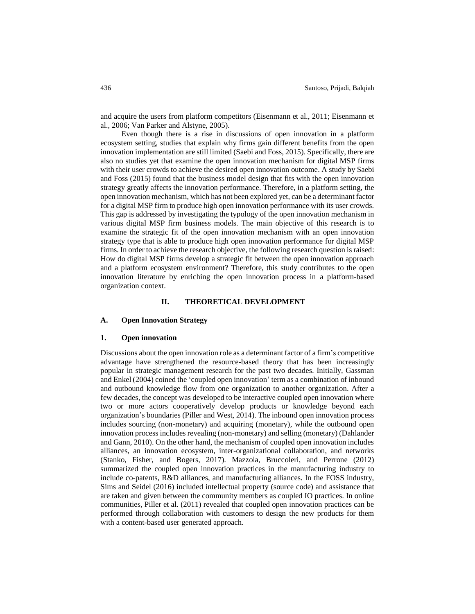and acquire the users from platform competitors (Eisenmann et al., 2011; Eisenmann et al., 2006; Van Parker and Alstyne, 2005).

Even though there is a rise in discussions of open innovation in a platform ecosystem setting, studies that explain why firms gain different benefits from the open innovation implementation are still limited (Saebi and Foss, 2015). Specifically, there are also no studies yet that examine the open innovation mechanism for digital MSP firms with their user crowds to achieve the desired open innovation outcome. A study by Saebi and Foss (2015) found that the business model design that fits with the open innovation strategy greatly affects the innovation performance. Therefore, in a platform setting, the open innovation mechanism, which has not been explored yet, can be a determinant factor for a digital MSP firm to produce high open innovation performance with its user crowds. This gap is addressed by investigating the typology of the open innovation mechanism in various digital MSP firm business models. The main objective of this research is to examine the strategic fit of the open innovation mechanism with an open innovation strategy type that is able to produce high open innovation performance for digital MSP firms. In order to achieve the research objective, the following research question is raised: How do digital MSP firms develop a strategic fit between the open innovation approach and a platform ecosystem environment? Therefore, this study contributes to the open innovation literature by enriching the open innovation process in a platform-based organization context.

#### **II. THEORETICAL DEVELOPMENT**

## **A. Open Innovation Strategy**

## **1. Open innovation**

Discussions about the open innovation role as a determinant factor of a firm's competitive advantage have strengthened the resource-based theory that has been increasingly popular in strategic management research for the past two decades. Initially, Gassman and Enkel (2004) coined the 'coupled open innovation' term as a combination of inbound and outbound knowledge flow from one organization to another organization. After a few decades, the concept was developed to be interactive coupled open innovation where two or more actors cooperatively develop products or knowledge beyond each organization's boundaries (Piller and West, 2014). The inbound open innovation process includes sourcing (non-monetary) and acquiring (monetary), while the outbound open innovation process includes revealing (non-monetary) and selling (monetary) (Dahlander and Gann, 2010). On the other hand, the mechanism of coupled open innovation includes alliances, an innovation ecosystem, inter-organizational collaboration, and networks (Stanko, Fisher, and Bogers, 2017). Mazzola, Bruccoleri, and Perrone (2012) summarized the coupled open innovation practices in the manufacturing industry to include co-patents, R&D alliances, and manufacturing alliances. In the FOSS industry, Sims and Seidel (2016) included intellectual property (source code) and assistance that are taken and given between the community members as coupled IO practices. In online communities, Piller et al. (2011) revealed that coupled open innovation practices can be performed through collaboration with customers to design the new products for them with a content-based user generated approach.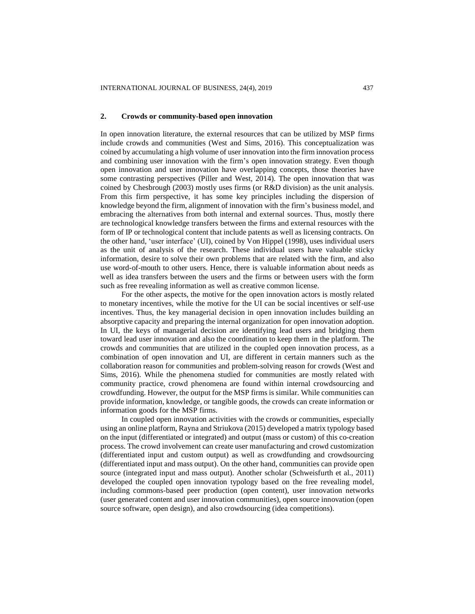#### **2. Crowds or community-based open innovation**

In open innovation literature, the external resources that can be utilized by MSP firms include crowds and communities (West and Sims, 2016). This conceptualization was coined by accumulating a high volume of user innovation into the firm innovation process and combining user innovation with the firm's open innovation strategy. Even though open innovation and user innovation have overlapping concepts, those theories have some contrasting perspectives (Piller and West, 2014). The open innovation that was coined by Chesbrough (2003) mostly uses firms (or R&D division) as the unit analysis. From this firm perspective, it has some key principles including the dispersion of knowledge beyond the firm, alignment of innovation with the firm's business model, and embracing the alternatives from both internal and external sources. Thus, mostly there are technological knowledge transfers between the firms and external resources with the form of IP or technological content that include patents as well as licensing contracts. On the other hand, 'user interface' (UI), coined by Von Hippel (1998), uses individual users as the unit of analysis of the research. These individual users have valuable sticky information, desire to solve their own problems that are related with the firm, and also use word-of-mouth to other users. Hence, there is valuable information about needs as well as idea transfers between the users and the firms or between users with the form such as free revealing information as well as creative common license.

For the other aspects, the motive for the open innovation actors is mostly related to monetary incentives, while the motive for the UI can be social incentives or self-use incentives. Thus, the key managerial decision in open innovation includes building an absorptive capacity and preparing the internal organization for open innovation adoption. In UI, the keys of managerial decision are identifying lead users and bridging them toward lead user innovation and also the coordination to keep them in the platform. The crowds and communities that are utilized in the coupled open innovation process, as a combination of open innovation and UI, are different in certain manners such as the collaboration reason for communities and problem-solving reason for crowds (West and Sims, 2016). While the phenomena studied for communities are mostly related with community practice, crowd phenomena are found within internal crowdsourcing and crowdfunding. However, the output for the MSP firms is similar. While communities can provide information, knowledge, or tangible goods, the crowds can create information or information goods for the MSP firms.

In coupled open innovation activities with the crowds or communities, especially using an online platform, Rayna and Striukova (2015) developed a matrix typology based on the input (differentiated or integrated) and output (mass or custom) of this co-creation process. The crowd involvement can create user manufacturing and crowd customization (differentiated input and custom output) as well as crowdfunding and crowdsourcing (differentiated input and mass output). On the other hand, communities can provide open source (integrated input and mass output). Another scholar (Schweisfurth et al., 2011) developed the coupled open innovation typology based on the free revealing model, including commons-based peer production (open content), user innovation networks (user generated content and user innovation communities), open source innovation (open source software, open design), and also crowdsourcing (idea competitions).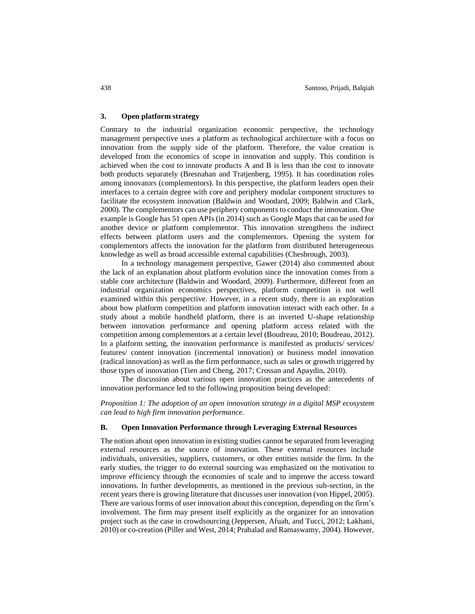# **3. Open platform strategy**

Contrary to the industrial organization economic perspective, the technology management perspective uses a platform as technological architecture with a focus on innovation from the supply side of the platform. Therefore, the value creation is developed from the economics of scope in innovation and supply. This condition is achieved when the cost to innovate products A and B is less than the cost to innovate both products separately (Bresnahan and Tratjenberg, 1995). It has coordination roles among innovators (complementors). In this perspective, the platform leaders open their interfaces to a certain degree with core and periphery modular component structures to facilitate the ecosystem innovation (Baldwin and Woodard, 2009; Baldwin and Clark, 2000). The complementors can use periphery components to conduct the innovation. One example is Google has 51 open APIs (in 2014) such as Google Maps that can be used for another device or platform complementor. This innovation strengthens the indirect effects between platform users and the complementors. Opening the system for complementors affects the innovation for the platform from distributed heterogeneous knowledge as well as broad accessible external capabilities (Chesbrough, 2003).

In a technology management perspective, Gawer (2014) also commented about the lack of an explanation about platform evolution since the innovation comes from a stable core architecture (Baldwin and Woodard, 2009). Furthermore, different from an industrial organization economics perspectives, platform competition is not well examined within this perspective. However, in a recent study, there is an exploration about how platform competition and platform innovation interact with each other. In a study about a mobile handheld platform, there is an inverted U-shape relationship between innovation performance and opening platform access related with the competition among complementors at a certain level (Boudreau, 2010; Boudreau, 2012). In a platform setting, the innovation performance is manifested as products/ services/ features/ content innovation (incremental innovation) or business model innovation (radical innovation) as well as the firm performance, such as sales or growth triggered by those types of innovation (Tien and Cheng, 2017; Crossan and Apaydin, 2010).

The discussion about various open innovation practices as the antecedents of innovation performance led to the following proposition being developed:

*Proposition 1: The adoption of an open innovation strategy in a digital MSP ecosystem can lead to high firm innovation performance.*

#### **B. Open Innovation Performance through Leveraging External Resources**

The notion about open innovation in existing studies cannot be separated from leveraging external resources as the source of innovation. These external resources include individuals, universities, suppliers, customers, or other entities outside the firm. In the early studies, the trigger to do external sourcing was emphasized on the motivation to improve efficiency through the economies of scale and to improve the access toward innovations. In further developments, as mentioned in the previous sub-section, in the recent years there is growing literature that discusses user innovation (von Hippel, 2005). There are various forms of user innovation about this conception, depending on the firm's involvement. The firm may present itself explicitly as the organizer for an innovation project such as the case in crowdsourcing (Jeppersen, Afuah, and Tucci, 2012; Lakhani, 2010) or co-creation (Piller and West, 2014; Prahalad and Ramaswamy, 2004). However,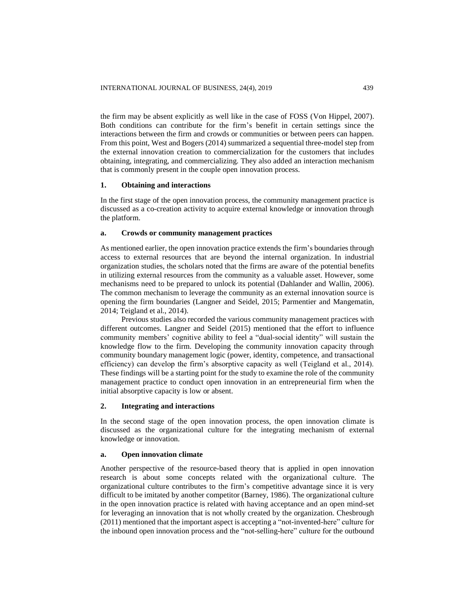the firm may be absent explicitly as well like in the case of FOSS (Von Hippel, 2007). Both conditions can contribute for the firm's benefit in certain settings since the interactions between the firm and crowds or communities or between peers can happen. From this point, West and Bogers (2014) summarized a sequential three-model step from the external innovation creation to commercialization for the customers that includes obtaining, integrating, and commercializing. They also added an interaction mechanism that is commonly present in the couple open innovation process.

# **1. Obtaining and interactions**

In the first stage of the open innovation process, the community management practice is discussed as a co-creation activity to acquire external knowledge or innovation through the platform.

#### **a. Crowds or community management practices**

As mentioned earlier, the open innovation practice extends the firm's boundaries through access to external resources that are beyond the internal organization. In industrial organization studies, the scholars noted that the firms are aware of the potential benefits in utilizing external resources from the community as a valuable asset. However, some mechanisms need to be prepared to unlock its potential (Dahlander and Wallin, 2006). The common mechanism to leverage the community as an external innovation source is opening the firm boundaries (Langner and Seidel, 2015; Parmentier and Mangematin, 2014; Teigland et al., 2014).

Previous studies also recorded the various community management practices with different outcomes. Langner and Seidel (2015) mentioned that the effort to influence community members' cognitive ability to feel a "dual-social identity" will sustain the knowledge flow to the firm. Developing the community innovation capacity through community boundary management logic (power, identity, competence, and transactional efficiency) can develop the firm's absorptive capacity as well (Teigland et al., 2014). These findings will be a starting point for the study to examine the role of the community management practice to conduct open innovation in an entrepreneurial firm when the initial absorptive capacity is low or absent.

#### **2. Integrating and interactions**

In the second stage of the open innovation process, the open innovation climate is discussed as the organizational culture for the integrating mechanism of external knowledge or innovation.

## **a. Open innovation climate**

Another perspective of the resource-based theory that is applied in open innovation research is about some concepts related with the organizational culture. The organizational culture contributes to the firm's competitive advantage since it is very difficult to be imitated by another competitor (Barney, 1986). The organizational culture in the open innovation practice is related with having acceptance and an open mind-set for leveraging an innovation that is not wholly created by the organization. Chesbrough (2011) mentioned that the important aspect is accepting a "not-invented-here" culture for the inbound open innovation process and the "not-selling-here" culture for the outbound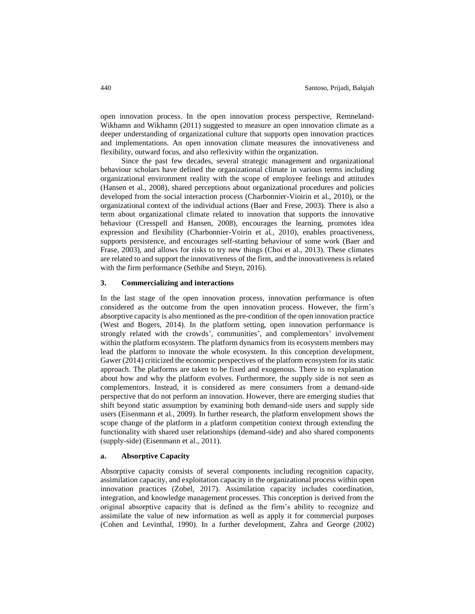open innovation process. In the open innovation process perspective, Remneland-Wikhamn and Wikhamn (2011) suggested to measure an open innovation climate as a deeper understanding of organizational culture that supports open innovation practices and implementations. An open innovation climate measures the innovativeness and flexibility, outward focus, and also reflexivity within the organization.

Since the past few decades, several strategic management and organizational behaviour scholars have defined the organizational climate in various terms including organizational environment reality with the scope of employee feelings and attitudes (Hansen et al., 2008), shared perceptions about organizational procedures and policies developed from the social interaction process (Charbonnier-Vioirin et al., 2010), or the organizational context of the individual actions (Baer and Frese, 2003). There is also a term about organizational climate related to innovation that supports the innovative behaviour (Cresspell and Hansen, 2008), encourages the learning, promotes idea expression and flexibility (Charbonnier-Voirin et al., 2010), enables proactiveness, supports persistence, and encourages self-starting behaviour of some work (Baer and Frase, 2003), and allows for risks to try new things (Choi et al., 2013). These climates are related to and support the innovativeness of the firm, and the innovativeness is related with the firm performance (Sethibe and Steyn, 2016).

## **3. Commercializing and interactions**

In the last stage of the open innovation process, innovation performance is often considered as the outcome from the open innovation process. However, the firm's absorptive capacity is also mentioned as the pre-condition of the open innovation practice (West and Bogers, 2014). In the platform setting, open innovation performance is strongly related with the crowds', communities', and complementors' involvement within the platform ecosystem. The platform dynamics from its ecosystem members may lead the platform to innovate the whole ecosystem. In this conception development, Gawer (2014) criticized the economic perspectives of the platform ecosystem for its static approach. The platforms are taken to be fixed and exogenous. There is no explanation about how and why the platform evolves. Furthermore, the supply side is not seen as complementors. Instead, it is considered as mere consumers from a demand-side perspective that do not perform an innovation. However, there are emerging studies that shift beyond static assumption by examining both demand-side users and supply side users (Eisenmann et al., 2009). In further research, the platform envelopment shows the scope change of the platform in a platform competition context through extending the functionality with shared user relationships (demand-side) and also shared components (supply-side) (Eisenmann et al., 2011).

## **a. Absorptive Capacity**

Absorptive capacity consists of several components including recognition capacity, assimilation capacity, and exploitation capacity in the organizational process within open innovation practices (Zobel, 2017). Assimilation capacity includes coordination, integration, and knowledge management processes. This conception is derived from the original absorptive capacity that is defined as the firm's ability to recognize and assimilate the value of new information as well as apply it for commercial purposes (Cohen and Levinthal, 1990). In a further development, Zahra and George (2002)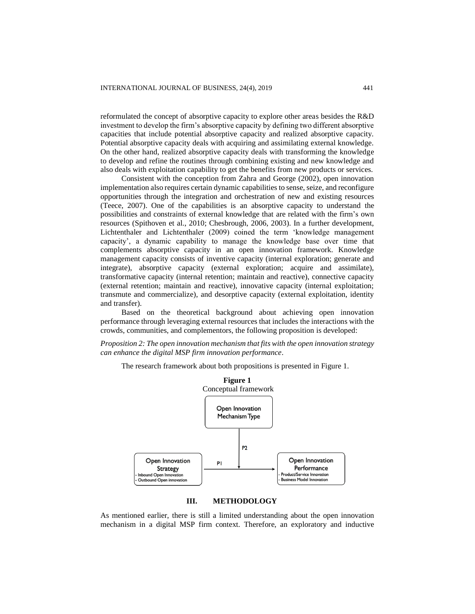reformulated the concept of absorptive capacity to explore other areas besides the R&D investment to develop the firm's absorptive capacity by defining two different absorptive capacities that include potential absorptive capacity and realized absorptive capacity. Potential absorptive capacity deals with acquiring and assimilating external knowledge. On the other hand, realized absorptive capacity deals with transforming the knowledge to develop and refine the routines through combining existing and new knowledge and also deals with exploitation capability to get the benefits from new products or services.

Consistent with the conception from Zahra and George (2002), open innovation implementation also requires certain dynamic capabilities to sense, seize, and reconfigure opportunities through the integration and orchestration of new and existing resources (Teece, 2007). One of the capabilities is an absorptive capacity to understand the possibilities and constraints of external knowledge that are related with the firm's own resources (Spithoven et al., 2010; Chesbrough, 2006, 2003). In a further development, Lichtenthaler and Lichtenthaler (2009) coined the term 'knowledge management capacity', a dynamic capability to manage the knowledge base over time that complements absorptive capacity in an open innovation framework. Knowledge management capacity consists of inventive capacity (internal exploration; generate and integrate), absorptive capacity (external exploration; acquire and assimilate), transformative capacity (internal retention; maintain and reactive), connective capacity (external retention; maintain and reactive), innovative capacity (internal exploitation; transmute and commercialize), and desorptive capacity (external exploitation, identity and transfer).

Based on the theoretical background about achieving open innovation performance through leveraging external resources that includes the interactions with the crowds, communities, and complementors, the following proposition is developed:

*Proposition 2: The open innovation mechanism that fits with the open innovation strategy can enhance the digital MSP firm innovation performance.*

The research framework about both propositions is presented in Figure 1.



## **III. METHODOLOGY**

As mentioned earlier, there is still a limited understanding about the open innovation mechanism in a digital MSP firm context. Therefore, an exploratory and inductive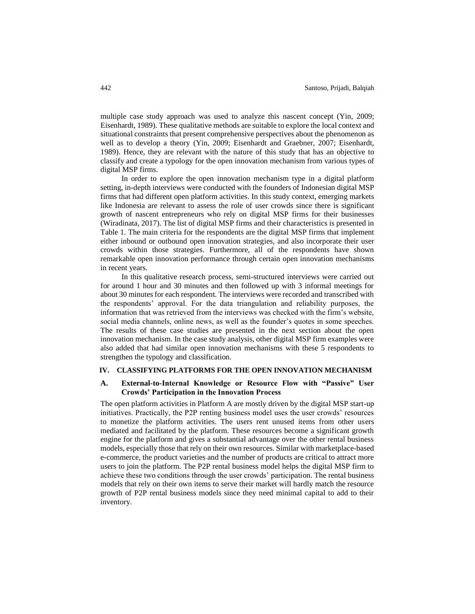multiple case study approach was used to analyze this nascent concept (Yin, 2009; Eisenhardt, 1989). These qualitative methods are suitable to explore the local context and situational constraints that present comprehensive perspectives about the phenomenon as well as to develop a theory (Yin, 2009; Eisenhardt and Graebner, 2007; Eisenhardt, 1989). Hence, they are relevant with the nature of this study that has an objective to classify and create a typology for the open innovation mechanism from various types of digital MSP firms.

In order to explore the open innovation mechanism type in a digital platform setting, in-depth interviews were conducted with the founders of Indonesian digital MSP firms that had different open platform activities. In this study context, emerging markets like Indonesia are relevant to assess the role of user crowds since there is significant growth of nascent entrepreneurs who rely on digital MSP firms for their businesses (Wiradinata, 2017). The list of digital MSP firms and their characteristics is presented in Table 1. The main criteria for the respondents are the digital MSP firms that implement either inbound or outbound open innovation strategies, and also incorporate their user crowds within those strategies. Furthermore, all of the respondents have shown remarkable open innovation performance through certain open innovation mechanisms in recent years.

In this qualitative research process, semi-structured interviews were carried out for around 1 hour and 30 minutes and then followed up with 3 informal meetings for about 30 minutes for each respondent. The interviews were recorded and transcribed with the respondents' approval. For the data triangulation and reliability purposes, the information that was retrieved from the interviews was checked with the firm's website, social media channels, online news, as well as the founder's quotes in some speeches. The results of these case studies are presented in the next section about the open innovation mechanism. In the case study analysis, other digital MSP firm examples were also added that had similar open innovation mechanisms with these 5 respondents to strengthen the typology and classification.

## **IV. CLASSIFYING PLATFORMS FOR THE OPEN INNOVATION MECHANISM**

# **A. External-to-Internal Knowledge or Resource Flow with "Passive" User Crowds' Participation in the Innovation Process**

The open platform activities in Platform A are mostly driven by the digital MSP start-up initiatives. Practically, the P2P renting business model uses the user crowds' resources to monetize the platform activities. The users rent unused items from other users mediated and facilitated by the platform. These resources become a significant growth engine for the platform and gives a substantial advantage over the other rental business models, especially those that rely on their own resources. Similar with marketplace-based e-commerce, the product varieties and the number of products are critical to attract more users to join the platform. The P2P rental business model helps the digital MSP firm to achieve these two conditions through the user crowds' participation. The rental business models that rely on their own items to serve their market will hardly match the resource growth of P2P rental business models since they need minimal capital to add to their inventory.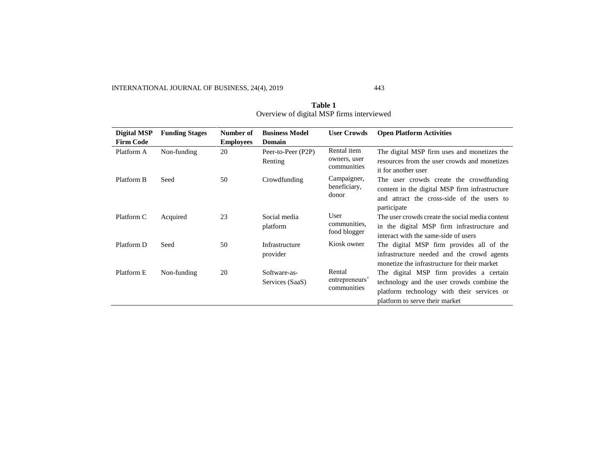INTERNATIONAL JOURNAL OF BUSINESS, 24(4), 2019 443

| Digital MSP      | <b>Funding Stages</b> | Number of        | <b>Business Model</b>           | <b>User Crowds</b>                         | <b>Open Platform Activities</b>                                                                                                                                       |
|------------------|-----------------------|------------------|---------------------------------|--------------------------------------------|-----------------------------------------------------------------------------------------------------------------------------------------------------------------------|
| <b>Firm Code</b> |                       | <b>Employees</b> | Domain                          |                                            |                                                                                                                                                                       |
| Platform A       | Non-funding           | 20               | Peer-to-Peer (P2P)<br>Renting   | Rental item<br>owners, user<br>communities | The digital MSP firm uses and monetizes the<br>resources from the user crowds and monetizes<br>it for another user                                                    |
| Platform B       | Seed                  | 50               | Crowdfunding                    | Campaigner,<br>beneficiary,<br>donor       | The user crowds create the crowdfunding<br>content in the digital MSP firm infrastructure<br>and attract the cross-side of the users to<br>participate                |
| Platform C       | Acquired              | 23               | Social media<br>platform        | User<br>communities.<br>food blogger       | The user crowds create the social media content<br>in the digital MSP firm infrastructure and<br>interact with the same-side of users                                 |
| Platform D       | Seed                  | 50               | Infrastructure<br>provider      | Kiosk owner                                | The digital MSP firm provides all of the<br>infrastructure needed and the crowd agents<br>monetize the infrastructure for their market                                |
| Platform E       | Non-funding           | 20               | Software-as-<br>Services (SaaS) | Rental<br>entrepreneurs'<br>communities    | The digital MSP firm provides a certain<br>technology and the user crowds combine the<br>platform technology with their services or<br>platform to serve their market |

**Table 1** Overview of digital MSP firms interviewed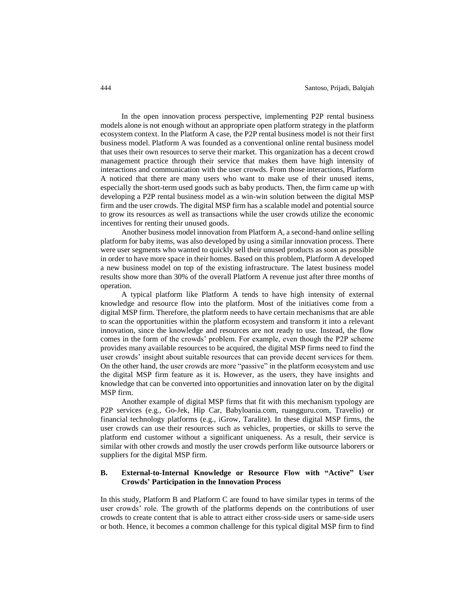In the open innovation process perspective, implementing P2P rental business models alone is not enough without an appropriate open platform strategy in the platform ecosystem context. In the Platform A case, the P2P rental business model is not their first business model. Platform A was founded as a conventional online rental business model that uses their own resources to serve their market. This organization has a decent crowd management practice through their service that makes them have high intensity of interactions and communication with the user crowds. From those interactions, Platform A noticed that there are many users who want to make use of their unused items, especially the short-term used goods such as baby products. Then, the firm came up with developing a P2P rental business model as a win-win solution between the digital MSP firm and the user crowds. The digital MSP firm has a scalable model and potential source to grow its resources as well as transactions while the user crowds utilize the economic incentives for renting their unused goods.

Another business model innovation from Platform A, a second-hand online selling platform for baby items, was also developed by using a similar innovation process. There were user segments who wanted to quickly sell their unused products as soon as possible in order to have more space in their homes. Based on this problem, Platform A developed a new business model on top of the existing infrastructure. The latest business model results show more than 30% of the overall Platform A revenue just after three months of operation.

A typical platform like Platform A tends to have high intensity of external knowledge and resource flow into the platform. Most of the initiatives come from a digital MSP firm. Therefore, the platform needs to have certain mechanisms that are able to scan the opportunities within the platform ecosystem and transform it into a relevant innovation, since the knowledge and resources are not ready to use. Instead, the flow comes in the form of the crowds' problem. For example, even though the P2P scheme provides many available resources to be acquired, the digital MSP firms need to find the user crowds' insight about suitable resources that can provide decent services for them. On the other hand, the user crowds are more "passive" in the platform ecosystem and use the digital MSP firm feature as it is. However, as the users, they have insights and knowledge that can be converted into opportunities and innovation later on by the digital MSP firm.

Another example of digital MSP firms that fit with this mechanism typology are P2P services (e.g., Go-Jek, Hip Car, Babyloania.com, ruangguru.com, Travelio) or financial technology platforms (e.g., iGrow, Taralite). In these digital MSP firms, the user crowds can use their resources such as vehicles, properties, or skills to serve the platform end customer without a significant uniqueness. As a result, their service is similar with other crowds and mostly the user crowds perform like outsource laborers or suppliers for the digital MSP firm.

# **B. External-to-Internal Knowledge or Resource Flow with "Active" User Crowds' Participation in the Innovation Process**

In this study, Platform B and Platform C are found to have similar types in terms of the user crowds' role. The growth of the platforms depends on the contributions of user crowds to create content that is able to attract either cross-side users or same-side users or both. Hence, it becomes a common challenge for this typical digital MSP firm to find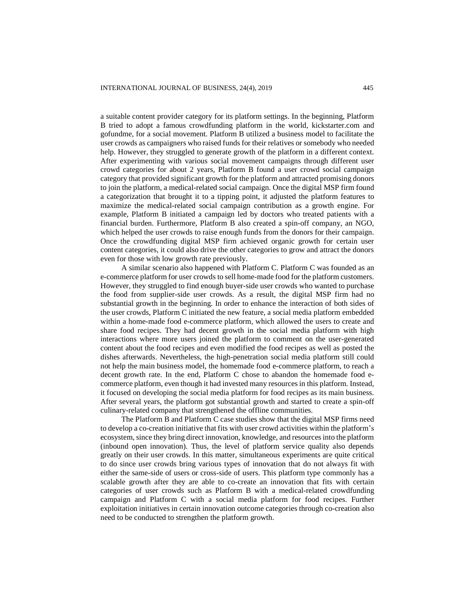a suitable content provider category for its platform settings. In the beginning, Platform B tried to adopt a famous crowdfunding platform in the world, kickstarter.com and gofundme, for a social movement. Platform B utilized a business model to facilitate the user crowds as campaigners who raised funds for their relatives or somebody who needed help. However, they struggled to generate growth of the platform in a different context. After experimenting with various social movement campaigns through different user crowd categories for about 2 years, Platform B found a user crowd social campaign category that provided significant growth for the platform and attracted promising donors to join the platform, a medical-related social campaign. Once the digital MSP firm found a categorization that brought it to a tipping point, it adjusted the platform features to maximize the medical-related social campaign contribution as a growth engine. For example, Platform B initiated a campaign led by doctors who treated patients with a financial burden. Furthermore, Platform B also created a spin-off company, an NGO, which helped the user crowds to raise enough funds from the donors for their campaign. Once the crowdfunding digital MSP firm achieved organic growth for certain user content categories, it could also drive the other categories to grow and attract the donors even for those with low growth rate previously.

A similar scenario also happened with Platform C. Platform C was founded as an e-commerce platform for user crowds to sell home-made food for the platform customers. However, they struggled to find enough buyer-side user crowds who wanted to purchase the food from supplier-side user crowds. As a result, the digital MSP firm had no substantial growth in the beginning. In order to enhance the interaction of both sides of the user crowds, Platform C initiated the new feature, a social media platform embedded within a home-made food e-commerce platform, which allowed the users to create and share food recipes. They had decent growth in the social media platform with high interactions where more users joined the platform to comment on the user-generated content about the food recipes and even modified the food recipes as well as posted the dishes afterwards. Nevertheless, the high-penetration social media platform still could not help the main business model, the homemade food e-commerce platform, to reach a decent growth rate. In the end, Platform C chose to abandon the homemade food ecommerce platform, even though it had invested many resources in this platform. Instead, it focused on developing the social media platform for food recipes as its main business. After several years, the platform got substantial growth and started to create a spin-off culinary-related company that strengthened the offline communities.

The Platform B and Platform C case studies show that the digital MSP firms need to develop a co-creation initiative that fits with user crowd activities within the platform's ecosystem, since they bring direct innovation, knowledge, and resources into the platform (inbound open innovation). Thus, the level of platform service quality also depends greatly on their user crowds. In this matter, simultaneous experiments are quite critical to do since user crowds bring various types of innovation that do not always fit with either the same-side of users or cross-side of users. This platform type commonly has a scalable growth after they are able to co-create an innovation that fits with certain categories of user crowds such as Platform B with a medical-related crowdfunding campaign and Platform C with a social media platform for food recipes. Further exploitation initiatives in certain innovation outcome categories through co-creation also need to be conducted to strengthen the platform growth.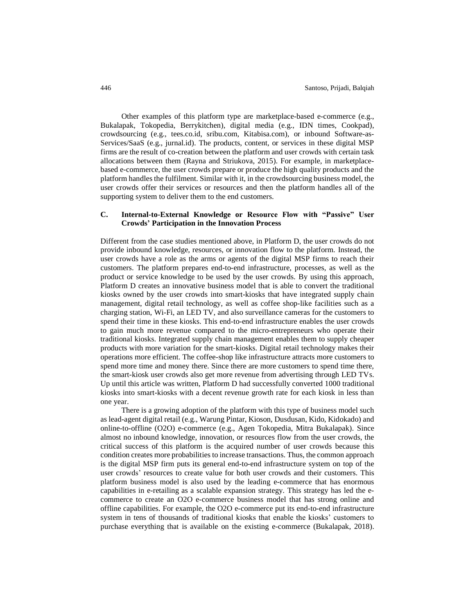Other examples of this platform type are marketplace-based e-commerce (e.g., Bukalapak, Tokopedia, Berrykitchen), digital media (e.g., IDN times, Cookpad), crowdsourcing (e.g., tees.co.id, sribu.com, Kitabisa.com), or inbound Software-as-Services/SaaS (e.g., jurnal.id). The products, content, or services in these digital MSP firms are the result of co-creation between the platform and user crowds with certain task allocations between them (Rayna and Striukova, 2015). For example, in marketplacebased e-commerce, the user crowds prepare or produce the high quality products and the platform handles the fulfilment. Similar with it, in the crowdsourcing business model, the user crowds offer their services or resources and then the platform handles all of the supporting system to deliver them to the end customers.

# **C. Internal-to-External Knowledge or Resource Flow with "Passive" User Crowds' Participation in the Innovation Process**

Different from the case studies mentioned above, in Platform D, the user crowds do not provide inbound knowledge, resources, or innovation flow to the platform. Instead, the user crowds have a role as the arms or agents of the digital MSP firms to reach their customers. The platform prepares end-to-end infrastructure, processes, as well as the product or service knowledge to be used by the user crowds. By using this approach, Platform D creates an innovative business model that is able to convert the traditional kiosks owned by the user crowds into smart-kiosks that have integrated supply chain management, digital retail technology, as well as coffee shop-like facilities such as a charging station, Wi-Fi, an LED TV, and also surveillance cameras for the customers to spend their time in these kiosks. This end-to-end infrastructure enables the user crowds to gain much more revenue compared to the micro-entrepreneurs who operate their traditional kiosks. Integrated supply chain management enables them to supply cheaper products with more variation for the smart-kiosks. Digital retail technology makes their operations more efficient. The coffee-shop like infrastructure attracts more customers to spend more time and money there. Since there are more customers to spend time there, the smart-kiosk user crowds also get more revenue from advertising through LED TVs. Up until this article was written, Platform D had successfully converted 1000 traditional kiosks into smart-kiosks with a decent revenue growth rate for each kiosk in less than one year.

There is a growing adoption of the platform with this type of business model such as lead-agent digital retail (e.g., Warung Pintar, Kioson, Dusdusan, Kido, Kidokado) and online-to-offline (O2O) e-commerce (e.g., Agen Tokopedia, Mitra Bukalapak). Since almost no inbound knowledge, innovation, or resources flow from the user crowds, the critical success of this platform is the acquired number of user crowds because this condition creates more probabilities to increase transactions. Thus, the common approach is the digital MSP firm puts its general end-to-end infrastructure system on top of the user crowds' resources to create value for both user crowds and their customers. This platform business model is also used by the leading e-commerce that has enormous capabilities in e-retailing as a scalable expansion strategy. This strategy has led the ecommerce to create an O2O e-commerce business model that has strong online and offline capabilities. For example, the O2O e-commerce put its end-to-end infrastructure system in tens of thousands of traditional kiosks that enable the kiosks' customers to purchase everything that is available on the existing e-commerce (Bukalapak, 2018).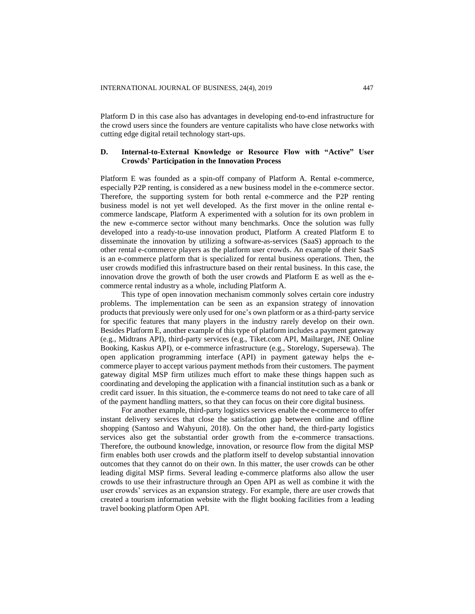Platform D in this case also has advantages in developing end-to-end infrastructure for the crowd users since the founders are venture capitalists who have close networks with cutting edge digital retail technology start-ups.

# **D. Internal-to-External Knowledge or Resource Flow with "Active" User Crowds' Participation in the Innovation Process**

Platform E was founded as a spin-off company of Platform A. Rental e-commerce, especially P2P renting, is considered as a new business model in the e-commerce sector. Therefore, the supporting system for both rental e-commerce and the P2P renting business model is not yet well developed. As the first mover in the online rental ecommerce landscape, Platform A experimented with a solution for its own problem in the new e-commerce sector without many benchmarks. Once the solution was fully developed into a ready-to-use innovation product, Platform A created Platform E to disseminate the innovation by utilizing a software-as-services (SaaS) approach to the other rental e-commerce players as the platform user crowds. An example of their SaaS is an e-commerce platform that is specialized for rental business operations. Then, the user crowds modified this infrastructure based on their rental business. In this case, the innovation drove the growth of both the user crowds and Platform E as well as the ecommerce rental industry as a whole, including Platform A.

This type of open innovation mechanism commonly solves certain core industry problems. The implementation can be seen as an expansion strategy of innovation products that previously were only used for one's own platform or as a third-party service for specific features that many players in the industry rarely develop on their own. Besides Platform E, another example of this type of platform includes a payment gateway (e.g., Midtrans API), third-party services (e.g., Tiket.com API, Mailtarget, JNE Online Booking, Kaskus API), or e-commerce infrastructure (e.g., Storelogy, Supersewa). The open application programming interface (API) in payment gateway helps the ecommerce player to accept various payment methods from their customers. The payment gateway digital MSP firm utilizes much effort to make these things happen such as coordinating and developing the application with a financial institution such as a bank or credit card issuer. In this situation, the e-commerce teams do not need to take care of all of the payment handling matters, so that they can focus on their core digital business.

For another example, third-party logistics services enable the e-commerce to offer instant delivery services that close the satisfaction gap between online and offline shopping (Santoso and Wahyuni, 2018). On the other hand, the third-party logistics services also get the substantial order growth from the e-commerce transactions. Therefore, the outbound knowledge, innovation, or resource flow from the digital MSP firm enables both user crowds and the platform itself to develop substantial innovation outcomes that they cannot do on their own. In this matter, the user crowds can be other leading digital MSP firms. Several leading e-commerce platforms also allow the user crowds to use their infrastructure through an Open API as well as combine it with the user crowds' services as an expansion strategy. For example, there are user crowds that created a tourism information website with the flight booking facilities from a leading travel booking platform Open API.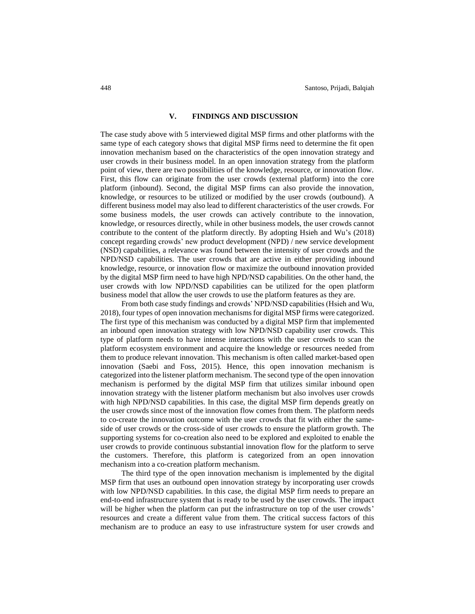#### **V. FINDINGS AND DISCUSSION**

The case study above with 5 interviewed digital MSP firms and other platforms with the same type of each category shows that digital MSP firms need to determine the fit open innovation mechanism based on the characteristics of the open innovation strategy and user crowds in their business model. In an open innovation strategy from the platform point of view, there are two possibilities of the knowledge, resource, or innovation flow. First, this flow can originate from the user crowds (external platform) into the core platform (inbound). Second, the digital MSP firms can also provide the innovation, knowledge, or resources to be utilized or modified by the user crowds (outbound). A different business model may also lead to different characteristics of the user crowds. For some business models, the user crowds can actively contribute to the innovation, knowledge, or resources directly, while in other business models, the user crowds cannot contribute to the content of the platform directly. By adopting Hsieh and Wu's (2018) concept regarding crowds' new product development (NPD) / new service development (NSD) capabilities, a relevance was found between the intensity of user crowds and the NPD/NSD capabilities. The user crowds that are active in either providing inbound knowledge, resource, or innovation flow or maximize the outbound innovation provided by the digital MSP firm need to have high NPD/NSD capabilities. On the other hand, the user crowds with low NPD/NSD capabilities can be utilized for the open platform business model that allow the user crowds to use the platform features as they are.

From both case study findings and crowds' NPD/NSD capabilities (Hsieh and Wu, 2018), four types of open innovation mechanismsfor digital MSP firms were categorized. The first type of this mechanism was conducted by a digital MSP firm that implemented an inbound open innovation strategy with low NPD/NSD capability user crowds. This type of platform needs to have intense interactions with the user crowds to scan the platform ecosystem environment and acquire the knowledge or resources needed from them to produce relevant innovation. This mechanism is often called market-based open innovation (Saebi and Foss, 2015). Hence, this open innovation mechanism is categorized into the listener platform mechanism. The second type of the open innovation mechanism is performed by the digital MSP firm that utilizes similar inbound open innovation strategy with the listener platform mechanism but also involves user crowds with high NPD/NSD capabilities. In this case, the digital MSP firm depends greatly on the user crowds since most of the innovation flow comes from them. The platform needs to co-create the innovation outcome with the user crowds that fit with either the sameside of user crowds or the cross-side of user crowds to ensure the platform growth. The supporting systems for co-creation also need to be explored and exploited to enable the user crowds to provide continuous substantial innovation flow for the platform to serve the customers. Therefore, this platform is categorized from an open innovation mechanism into a co-creation platform mechanism.

The third type of the open innovation mechanism is implemented by the digital MSP firm that uses an outbound open innovation strategy by incorporating user crowds with low NPD/NSD capabilities. In this case, the digital MSP firm needs to prepare an end-to-end infrastructure system that is ready to be used by the user crowds. The impact will be higher when the platform can put the infrastructure on top of the user crowds' resources and create a different value from them. The critical success factors of this mechanism are to produce an easy to use infrastructure system for user crowds and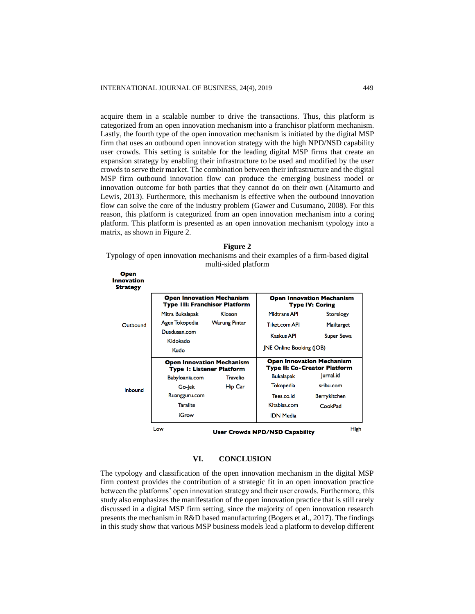acquire them in a scalable number to drive the transactions. Thus, this platform is categorized from an open innovation mechanism into a franchisor platform mechanism. Lastly, the fourth type of the open innovation mechanism is initiated by the digital MSP firm that uses an outbound open innovation strategy with the high NPD/NSD capability user crowds. This setting is suitable for the leading digital MSP firms that create an expansion strategy by enabling their infrastructure to be used and modified by the user crowds to serve their market. The combination between their infrastructure and the digital MSP firm outbound innovation flow can produce the emerging business model or innovation outcome for both parties that they cannot do on their own (Aitamurto and Lewis, 2013). Furthermore, this mechanism is effective when the outbound innovation flow can solve the core of the industry problem (Gawer and Cusumano, 2008). For this reason, this platform is categorized from an open innovation mechanism into a coring platform. This platform is presented as an open innovation mechanism typology into a matrix, as shown in Figure 2.

| <b>Figure 2</b>                                                                   |  |  |  |  |  |  |  |  |
|-----------------------------------------------------------------------------------|--|--|--|--|--|--|--|--|
| Typology of open innovation mechanisms and their examples of a firm-based digital |  |  |  |  |  |  |  |  |
| multi-sided platform                                                              |  |  |  |  |  |  |  |  |

| Innovation<br><b>Strategy</b> | <b>Open Innovation Mechanism</b><br><b>Type III: Franchisor Platform</b> |                                                                      | <b>Open Innovation Mechanism</b><br><b>Type IV: Coring</b>              |                     |  |  |
|-------------------------------|--------------------------------------------------------------------------|----------------------------------------------------------------------|-------------------------------------------------------------------------|---------------------|--|--|
|                               | Mitra Bukalapak                                                          | Kioson                                                               | <b>Midtrans API</b>                                                     | <b>Storelogy</b>    |  |  |
| Outhound                      | Agen Tokopedia                                                           | <b>Warung Pintar</b>                                                 | Tiket.com API                                                           | Mailtarget          |  |  |
|                               | Dusdusan.com<br>Kidokado                                                 |                                                                      | Kaskus API                                                              | Super Sewa          |  |  |
|                               | Kudo                                                                     |                                                                      | <b>INE Online Booking (IOB)</b>                                         |                     |  |  |
|                               |                                                                          | <b>Open Innovation Mechanism</b><br><b>Type I: Listener Platform</b> | <b>Open Innovation Mechanism</b><br><b>Type II: Co-Creator Platform</b> |                     |  |  |
|                               | Babyloania.com                                                           | <b>Travelio</b>                                                      | <b>Bukalapak</b>                                                        | Jurnal.id           |  |  |
| Inbound                       | Go-Jek                                                                   | <b>Hip Car</b>                                                       | Tokopedia                                                               | sribu.com           |  |  |
|                               | Ruangguru.com                                                            |                                                                      | Tees.co.id                                                              | <b>Berrykitchen</b> |  |  |
|                               | <b>Taralite</b>                                                          |                                                                      | Kitabisa.com                                                            | CookPad             |  |  |
|                               | iGrow                                                                    |                                                                      | <b>IDN Media</b>                                                        |                     |  |  |
|                               | High<br>Low<br><b>User Crowds NPD/NSD Capability</b>                     |                                                                      |                                                                         |                     |  |  |

#### **VI. CONCLUSION**

The typology and classification of the open innovation mechanism in the digital MSP firm context provides the contribution of a strategic fit in an open innovation practice between the platforms' open innovation strategy and their user crowds. Furthermore, this study also emphasizes the manifestation of the open innovation practice that is still rarely discussed in a digital MSP firm setting, since the majority of open innovation research presents the mechanism in R&D based manufacturing (Bogers et al., 2017). The findings in this study show that various MSP business models lead a platform to develop different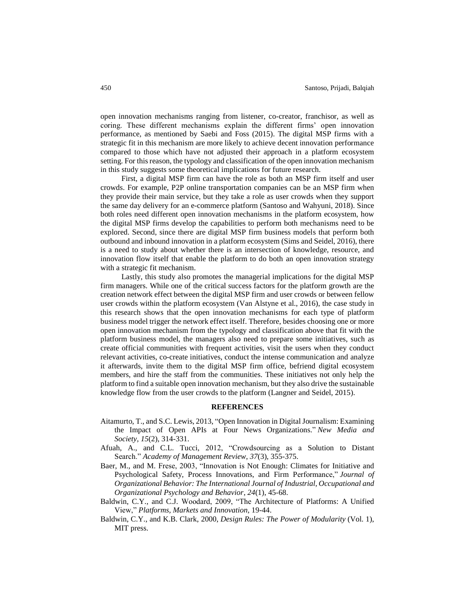open innovation mechanisms ranging from listener, co-creator, franchisor, as well as coring. These different mechanisms explain the different firms' open innovation performance, as mentioned by Saebi and Foss (2015). The digital MSP firms with a strategic fit in this mechanism are more likely to achieve decent innovation performance compared to those which have not adjusted their approach in a platform ecosystem setting. For this reason, the typology and classification of the open innovation mechanism in this study suggests some theoretical implications for future research.

First, a digital MSP firm can have the role as both an MSP firm itself and user crowds. For example, P2P online transportation companies can be an MSP firm when they provide their main service, but they take a role as user crowds when they support the same day delivery for an e-commerce platform (Santoso and Wahyuni, 2018). Since both roles need different open innovation mechanisms in the platform ecosystem, how the digital MSP firms develop the capabilities to perform both mechanisms need to be explored. Second, since there are digital MSP firm business models that perform both outbound and inbound innovation in a platform ecosystem (Sims and Seidel, 2016), there is a need to study about whether there is an intersection of knowledge, resource, and innovation flow itself that enable the platform to do both an open innovation strategy with a strategic fit mechanism.

Lastly, this study also promotes the managerial implications for the digital MSP firm managers. While one of the critical success factors for the platform growth are the creation network effect between the digital MSP firm and user crowds or between fellow user crowds within the platform ecosystem (Van Alstyne et al., 2016), the case study in this research shows that the open innovation mechanisms for each type of platform business model trigger the network effect itself. Therefore, besides choosing one or more open innovation mechanism from the typology and classification above that fit with the platform business model, the managers also need to prepare some initiatives, such as create official communities with frequent activities, visit the users when they conduct relevant activities, co-create initiatives, conduct the intense communication and analyze it afterwards, invite them to the digital MSP firm office, befriend digital ecosystem members, and hire the staff from the communities. These initiatives not only help the platform to find a suitable open innovation mechanism, but they also drive the sustainable knowledge flow from the user crowds to the platform (Langner and Seidel, 2015).

## **REFERENCES**

- Aitamurto, T., and S.C. Lewis, 2013, "Open Innovation in Digital Journalism: Examining the Impact of Open APIs at Four News Organizations." *New Media and Society*, *15*(2), 314-331.
- Afuah, A., and C.L. Tucci, 2012, "Crowdsourcing as a Solution to Distant Search." *Academy of Management Review*, *37*(3), 355-375.
- Baer, M., and M. Frese, 2003, "Innovation is Not Enough: Climates for Initiative and Psychological Safety, Process Innovations, and Firm Performance," *Journal of Organizational Behavior: The International Journal of Industrial, Occupational and Organizational Psychology and Behavior*, *24*(1), 45-68.
- Baldwin, C.Y., and C.J. Woodard, 2009, "The Architecture of Platforms: A Unified View," *Platforms, Markets and Innovation*, 19-44.
- Baldwin, C.Y., and K.B. Clark, 2000, *Design Rules: The Power of Modularity* (Vol. 1), MIT press.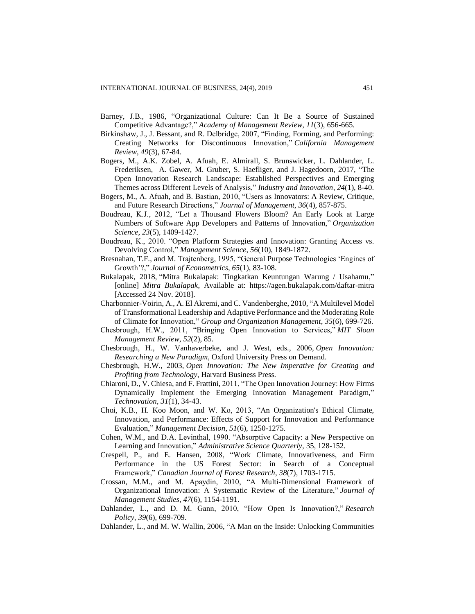- Barney, J.B., 1986, "Organizational Culture: Can It Be a Source of Sustained Competitive Advantage?," *Academy of Management Review*, *11*(3), 656-665.
- Birkinshaw, J., J. Bessant, and R. Delbridge, 2007, "Finding, Forming, and Performing: Creating Networks for Discontinuous Innovation," *California Management Review*, *49*(3), 67-84.
- Bogers, M., A.K. Zobel, A. Afuah, E. Almirall, S. Brunswicker, L. Dahlander, L. Frederiksen, A. Gawer, M. Gruber, S. Haefliger, and J. Hagedoorn, 2017, "The Open Innovation Research Landscape: Established Perspectives and Emerging Themes across Different Levels of Analysis," *Industry and Innovation*, *24*(1), 8-40.
- Bogers, M., A. Afuah, and B. Bastian, 2010, "Users as Innovators: A Review, Critique, and Future Research Directions," *Journal of Management*, *36*(4), 857-875.
- Boudreau, K.J., 2012, "Let a Thousand Flowers Bloom? An Early Look at Large Numbers of Software App Developers and Patterns of Innovation," *Organization Science*, *23*(5), 1409-1427.
- Boudreau, K., 2010. "Open Platform Strategies and Innovation: Granting Access vs. Devolving Control," *Management Science*, *56*(10), 1849-1872.
- Bresnahan, T.F., and M. Trajtenberg, 1995, "General Purpose Technologies 'Engines of Growth'?," *Journal of Econometrics*, *65*(1), 83-108.
- Bukalapak, 2018, "Mitra Bukalapak: Tingkatkan Keuntungan Warung / Usahamu," [online] *Mitra Bukalapak*, Available at: https://agen.bukalapak.com/daftar-mitra [Accessed 24 Nov. 2018].
- Charbonnier-Voirin, A., A. El Akremi, and C. Vandenberghe, 2010, "A Multilevel Model of Transformational Leadership and Adaptive Performance and the Moderating Role of Climate for Innovation," *Group and Organization Management*, *35*(6), 699-726.
- Chesbrough, H.W., 2011, "Bringing Open Innovation to Services," *MIT Sloan Management Review*, *52*(2), 85.
- Chesbrough, H., W. Vanhaverbeke, and J. West, eds., 2006, *Open Innovation: Researching a New Paradigm*, Oxford University Press on Demand.
- Chesbrough, H.W., 2003, *Open Innovation: The New Imperative for Creating and Profiting from Technology*, Harvard Business Press.
- Chiaroni, D., V. Chiesa, and F. Frattini, 2011, "The Open Innovation Journey: How Firms Dynamically Implement the Emerging Innovation Management Paradigm," *Technovation*, *31*(1), 34-43.
- Choi, K.B., H. Koo Moon, and W. Ko, 2013, "An Organization's Ethical Climate, Innovation, and Performance: Effects of Support for Innovation and Performance Evaluation," *Management Decision*, *51*(6), 1250-1275.
- Cohen, W.M., and D.A. Levinthal, 1990. "Absorptive Capacity: a New Perspective on Learning and Innovation," *Administrative Science Quarterly,* 35, 128-152.
- Crespell, P., and E. Hansen, 2008, "Work Climate, Innovativeness, and Firm Performance in the US Forest Sector: in Search of a Conceptual Framework," *Canadian Journal of Forest Research*, *38*(7), 1703-1715.
- Crossan, M.M., and M. Apaydin, 2010, "A Multi‐Dimensional Framework of Organizational Innovation: A Systematic Review of the Literature," *Journal of Management Studies*, *47*(6), 1154-1191.
- Dahlander, L., and D. M. Gann, 2010, "How Open Is Innovation?," *Research Policy*, *39*(6), 699-709.
- Dahlander, L., and M. W. Wallin, 2006, "A Man on the Inside: Unlocking Communities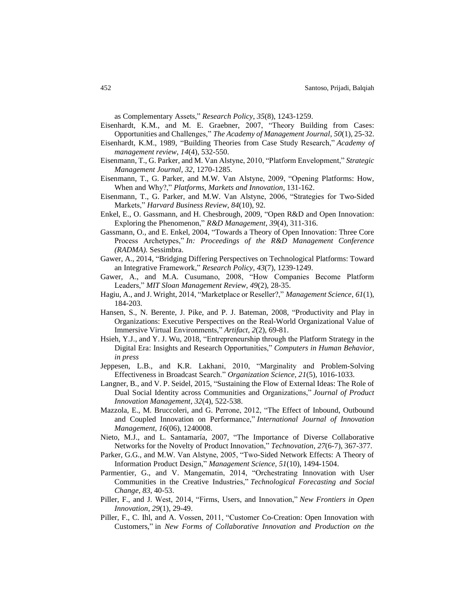as Complementary Assets," *Research Policy*, *35*(8), 1243-1259.

- Eisenhardt, K.M., and M. E. Graebner, 2007, "Theory Building from Cases: Opportunities and Challenges," *The Academy of Management Journal*, *50*(1), 25-32.
- Eisenhardt, K.M., 1989, "Building Theories from Case Study Research," *Academy of management review*, *14*(4), 532-550.
- Eisenmann, T., G. Parker, and M. Van Alstyne, 2010, "Platform Envelopment," *Strategic Management Journal, 32*, 1270-1285.
- Eisenmann, T., G. Parker, and M.W. Van Alstyne, 2009, "Opening Platforms: How, When and Why?," *Platforms, Markets and Innovation*, 131-162.
- Eisenmann, T., G. Parker, and M.W. Van Alstyne, 2006, "Strategies for Two-Sided Markets," *Harvard Business Review*, *84*(10), 92.
- Enkel, E., O. Gassmann, and H. Chesbrough, 2009, "Open R&D and Open Innovation: Exploring the Phenomenon," *R&D Management*, *39*(4), 311-316.
- Gassmann, O., and E. Enkel, 2004, "Towards a Theory of Open Innovation: Three Core Process Archetypes," *In: Proceedings of the R&D Management Conference (RADMA).* Sessimbra.
- Gawer, A., 2014, "Bridging Differing Perspectives on Technological Platforms: Toward an Integrative Framework," *Research Policy*, *43*(7), 1239-1249.
- Gawer, A., and M.A. Cusumano, 2008, "How Companies Become Platform Leaders," *MIT Sloan Management Review*, *49*(2), 28-35.
- Hagiu, A., and J. Wright, 2014, "Marketplace or Reseller?," *Management Science*, *61*(1), 184-203.
- Hansen, S., N. Berente, J. Pike, and P. J. Bateman, 2008, "Productivity and Play in Organizations: Executive Perspectives on the Real-World Organizational Value of Immersive Virtual Environments," *Artifact*, *2*(2), 69-81.
- Hsieh, Y.J., and Y. J. Wu, 2018, "Entrepreneurship through the Platform Strategy in the Digital Era: Insights and Research Opportunities," *Computers in Human Behavior, in press*
- Jeppesen, L.B., and K.R. Lakhani, 2010, "Marginality and Problem-Solving Effectiveness in Broadcast Search." *Organization Science*, *21*(5), 1016-1033.
- Langner, B., and V. P. Seidel, 2015, "Sustaining the Flow of External Ideas: The Role of Dual Social Identity across Communities and Organizations," *Journal of Product Innovation Management*, *32*(4), 522-538.
- Mazzola, E., M. Bruccoleri, and G. Perrone, 2012, "The Effect of Inbound, Outbound and Coupled Innovation on Performance," *International Journal of Innovation Management*, *16*(06), 1240008.
- Nieto, M.J., and L. Santamaría, 2007, "The Importance of Diverse Collaborative Networks for the Novelty of Product Innovation," *Technovation*, *27*(6-7), 367-377.
- Parker, G.G., and M.W. Van Alstyne, 2005, "Two-Sided Network Effects: A Theory of Information Product Design," *Management Science*, *51*(10), 1494-1504.
- Parmentier, G., and V. Mangematin, 2014, "Orchestrating Innovation with User Communities in the Creative Industries," *Technological Forecasting and Social Change*, *83*, 40-53.
- Piller, F., and J. West, 2014, "Firms, Users, and Innovation," *New Frontiers in Open Innovation*, *29*(1), 29-49.
- Piller, F., C. Ihl, and A. Vossen, 2011, "Customer Co-Creation: Open Innovation with Customers," in *New Forms of Collaborative Innovation and Production on the*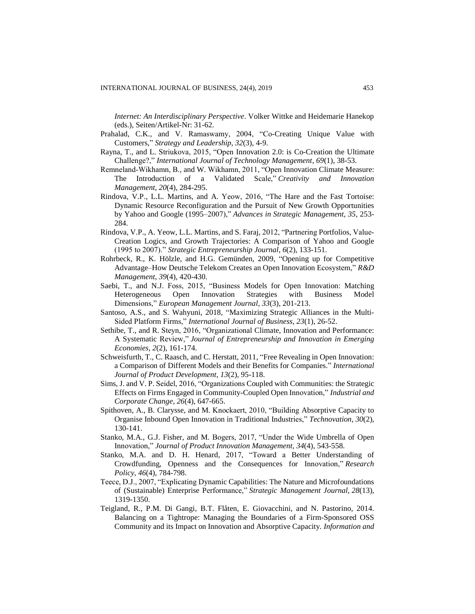*Internet: An Interdisciplinary Perspective*. Volker Wittke and Heidemarie Hanekop (eds.), Seiten/Artikel-Nr: 31-62*.*

- Prahalad, C.K., and V. Ramaswamy, 2004, "Co-Creating Unique Value with Customers," *Strategy and Leadership*, *32*(3), 4-9.
- Rayna, T., and L. Striukova, 2015, "Open Innovation 2.0: is Co-Creation the Ultimate Challenge?," *International Journal of Technology Management*, *69*(1), 38-53.
- Remneland‐Wikhamn, B., and W. Wikhamn, 2011, "Open Innovation Climate Measure: The Introduction of a Validated Scale," *Creativity and Innovation Management*, *20*(4), 284-295.
- Rindova, V.P., L.L. Martins, and A. Yeow, 2016, "The Hare and the Fast Tortoise: Dynamic Resource Reconfiguration and the Pursuit of New Growth Opportunities by Yahoo and Google (1995–2007)," *Advances in Strategic Management, 35*, 253- 284.
- Rindova, V.P., A. Yeow, L.L. Martins, and S. Faraj, 2012, "Partnering Portfolios, Value‐ Creation Logics, and Growth Trajectories: A Comparison of Yahoo and Google (1995 to 2007)." *Strategic Entrepreneurship Journal*, *6*(2), 133-151.
- Rohrbeck, R., K. Hölzle, and H.G. Gemünden, 2009, "Opening up for Competitive Advantage–How Deutsche Telekom Creates an Open Innovation Ecosystem," *R&D Management*, *39*(4), 420-430.
- Saebi, T., and N.J. Foss, 2015, "Business Models for Open Innovation: Matching Heterogeneous Open Innovation Strategies with Business Model Dimensions," *European Management Journal*, *33*(3), 201-213.
- Santoso, A.S., and S. Wahyuni, 2018, "Maximizing Strategic Alliances in the Multi-Sided Platform Firms," *International Journal of Business*, *23*(1), 26-52.
- Sethibe, T., and R. Steyn, 2016, "Organizational Climate, Innovation and Performance: A Systematic Review," *Journal of Entrepreneurship and Innovation in Emerging Economies*, *2*(2), 161-174.
- Schweisfurth, T., C. Raasch, and C. Herstatt, 2011, "Free Revealing in Open Innovation: a Comparison of Different Models and their Benefits for Companies." *International Journal of Product Development*, *13*(2), 95-118.
- Sims, J. and V. P. Seidel, 2016, "Organizations Coupled with Communities: the Strategic Effects on Firms Engaged in Community-Coupled Open Innovation," *Industrial and Corporate Change*, *26*(4), 647-665.
- Spithoven, A., B. Clarysse, and M. Knockaert, 2010, "Building Absorptive Capacity to Organise Inbound Open Innovation in Traditional Industries," *Technovation*, *30*(2), 130-141.
- Stanko, M.A., G.J. Fisher, and M. Bogers, 2017, "Under the Wide Umbrella of Open Innovation," *Journal of Product Innovation Management*, *34*(4), 543-558.
- Stanko, M.A. and D. H. Henard, 2017, "Toward a Better Understanding of Crowdfunding, Openness and the Consequences for Innovation," *Research Policy*, *46*(4), 784-798.
- Teece, D.J., 2007, "Explicating Dynamic Capabilities: The Nature and Microfoundations of (Sustainable) Enterprise Performance," *Strategic Management Journal*, *28*(13), 1319-1350.
- Teigland, R., P.M. Di Gangi, B.T. Flåten, E. Giovacchini, and N. Pastorino, 2014. Balancing on a Tightrope: Managing the Boundaries of a Firm-Sponsored OSS Community and its Impact on Innovation and Absorptive Capacity. *Information and*